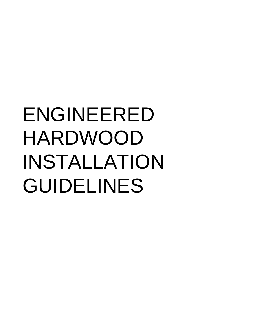# ENGINEERED HARDWOOD INSTALLATION GUIDELINES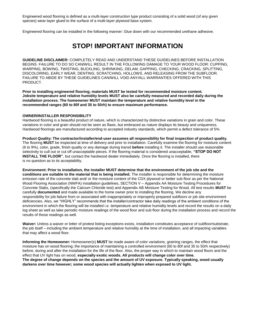Engineered wood flooring is defined as a multi-layer construction type product consisting of a solid wood (of any given species) wear-layer glued to the surface of a multi-layer plywood base system.

Engineered flooring can be installed in the following manner: Glue down with our recommended urethane adhesive.

## **STOP! IMPORTANT INFORMATION**

**GUIDELINE DISCLAIMER:** COMPLETELY READ AND UNDERSTAND THESE GUIDELINES BEFORE INSTALLATION BEGINS. FAILURE TO DO SO CAN/WILL RESULT IN THE FOLLOWING DAMAGE TO YOUR WOOD FLOOR: CUPPING, WARPING, BOWING, TWISTING, BUCKLING, SHRINKING, DELAM, GAPPING, CHECKING, CRACKING, SPLITTING, DISCOLORING, EARLY WEAR, DENTING, SCRATCHING, HOLLOWS, AND RELEASING FROM THE SUBFLOOR. FAILURE TO ABIDE BY THESE GUIDELINES CAN/WILL VOID ANY/ALL WARRANTIES OFFERED WITH THIS PRODUCT.

**Prior to installing engineered flooring; materials MUST be tested for recommended moisture content. Jobsite temperature and relative humidity levels MUST also be carefully measured and recorded daily during the installation process. The homeowner MUST maintain the temperature and relative humidity level in the recommended ranges (60 to 80f and 35 to 50rh) to ensure maximum performance.** 

#### **OWNER/INSTALLER RESPONSIBILITY**

Hardwood flooring is a beautiful product of nature, which is characterized by distinctive variations in grain and color. These variations in color and grain should not be seen as flaws, but embraced as nature displays its beauty and uniqueness. Hardwood floorings are manufactured according to accepted industry standards, which permit a defect tolerance of 5%.

**Product Quality: The contractor/installer/end-user assumes all responsibility for final inspection of product quality.**  The flooring **MUST** be inspected at time of delivery and prior to installation. Carefully examine the flooring for moisture content (6 to 9%), color, grade, finish quality or any damage during transit **before** installing it. The installer should use reasonable selectivity to cull out or cut off unacceptable pieces. If the flooring material is considered unacceptable, **"STOP DO NOT INSTALL THE FLOOR"**, but contact the hardwood dealer immediately. Once the flooring is installed, there is no question as to its acceptability.

**Environment: Prior to installation, the installer MUST determine that the environment of the job site and the conditions are suitable to the material that is being installed.** The installer is responsible for determining the moisture emission rate of the concrete slab and/ or the moisture content of the CDX plywood or better sub floor as per the National Wood Flooring Association (NWFA) installation guidelines, SECTION V – Appendix AA Moisture Testing Procedures for Concrete Slabs, (specifically the Calcium Chloride test) and Appendix AB Moisture Testing for Wood. All test results **MUST** be carefully **documented** and made available to the home owner prior to installing the flooring. We decline any responsibility for job failure from or associated with inappropriately or improperly prepared subfloors or job site environment deficiencies. Also, we "HIGHLY" recommends that the installer/contractor take daily readings of the ambient conditions of the environment in which the flooring will be installed i.e. temperature and relative humidity levels and record the results on a daily log sheet as well as take periodic moisture readings of the wood floor and sub floor during the installation process and record the results of those readings as well.

**Waiver:** Unless a waiver or letter of protest listing exceptions exists, installation constitutes acceptance of subfloor/substrate, the job itself – including the ambient temperature and relative humidity at the time of installation, and all impacting variables that may affect a wood floor.

**Informing the Homeowner:** Homeowner(s) **MUST** be made aware of color variations, graining ranges, the effect that moisture has on wood flooring; the importance of maintaining a controlled environment (60 to 80f and 35 to 50rh respectively) before, during and after the installation for the life of the floor. Also, the proper way in which to maintain wood floors and the effect that UV light has on wood, **especially exotic woods. All products will change color over time. The degree of change depends on the species and the amount of UV exposure. Typically speaking, wood usually darkens over time however; some wood species will actually lighten when exposed to UV light.**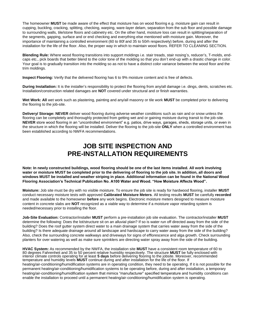The homeowner **MUST** be made aware of the effect that moisture has on wood flooring e.g. moisture gain can result in cupping, buckling, cracking, splitting, checking, warping, ware-layer delam, separation from the sub floor and possible damage to surrounding walls, tile/stone floors and cabinetry etc. On the other hand, moisture loss can result in splitting/separation of the segments, gapping, surface and or end checking and everything else mentioned with moisture gain. Moreover, the importance of maintaining a controlled environment (60 to 80f and 35 to 50rh respectively) before, during and after the installation for the life of the floor. Also, the proper way in which to maintain wood floors. REFER TO CLEANING SECTION.

**Blending Rule:** Where wood flooring transitions into support moldings i.e. stair treads, stair nosing's, reducer's, T-molds, endcaps etc., pick boards that better blend to the color tone of the molding so that you don't end-up with a drastic change in color. Your goal is to gradually transition into the molding so as not to have a distinct color variance between the wood floor and the trim moldings.

**Inspect Flooring:** Verify that the delivered flooring has 6 to 9% moisture content and is free of defects.

**During Installation:** It is the installer's responsibility to protect the flooring from any/all damage i.e. dings, dents, scratches etc. Installation/construction related damages are **NOT** covered under structural and or finish warranties.

**Wet Work: All** wet work such as plastering, painting and any/all masonry or tile work **MUST** be completed prior to delivering the flooring to the job-site.

**Delivery/ Storage: NEVER** deliver wood flooring during adverse weather conditions such as rain and or snow unless the flooring can be completely and thoroughly protected from getting wet and or gaining moisture during transit to the job-site. **NEVER** store wood flooring in an "uncontrolled environment" e.g. patios, drive ways, garages, sheds, storage units, or even in the structure in which the flooring will be installed. Deliver the flooring to the job-site **ONLY** when a controlled environment has been established according to NWFA recommendations.

### **JOB SITE INSPECTION AND PRE-INSTALLATION REQUIREMENTS**

**Note: In newly constructed buildings, wood flooring should be one of the last items installed. All work involving water or moisture MUST be completed prior to the delivering of flooring to the job site. In addition, all doors and windows MUST be installed and weather striping in place. Additional information can be found in the National Wood Flooring Association's Technical Publication No. A100 Water and Wood. "How Moisture Affects Wood".** 

**Moisture:** Job site must be dry with no visible moisture. To ensure the job site is ready for hardwood flooring, installer **MUST**  conduct necessary moisture tests with approved **Calibrated Moisture Meters**. All testing results **MUST** be carefully **recorded**  and made available to the homeowner **before** any work begins. Electronic moisture meters designed to measure moisture content in concrete slabs are **NOT** recognized as a viable way to determine if a moisture vapor retarding system is needed/necessary prior to installing the floor.

**Job-Site Evaluation:** Contractor/installer **MUST** perform a pre-installation job site evaluation. The contractor/installer **MUST**  determine the following: Does the lot/structure sit on an alluvial plain? If so is water run off directed away from the side of the building? Does the roof gutter system direct water to a main drainage system that carries water away from the side of the building? Is there adequate drainage around all landscape and hardscape to carry water away from the side of the building? Also, check the surrounding concrete walkways and driveways for signs of efflorescence and alga growth. Check surrounding planters for over watering as well as make sure sprinklers are directing water spray away from the side of the building.

**HVAC System:** As recommended by the NWFA, the installation site **MUST** have a consistent room temperature of 60 to 80 degrees Fahrenheit and 35 to 50 percent relative humidity respectively. The structure **MUST** be fully enclosed with interior climate controls operating for at least **5 days** before delivering flooring to the jobsite. Moreover, recommended temperature and humidity levels **MUST** continue during and after installation for the life of the floor. If heating/air-conditioning/humidification systems are in operating condition, they need to be operating. If it is not possible for the permanent heating/air-conditioning/humidification systems to be operating before, during and after installation, a temporary heating/air-conditioning/humidification system that mimics "manufacturer" specified temperature and humidity conditions can enable the installation to proceed until a permanent heating/air-conditioning/humidification system is operating.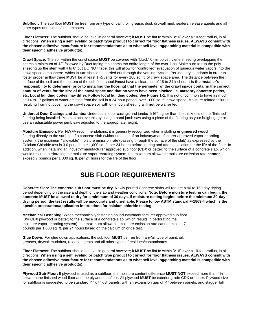**Subfloor:** The sub floor **MUST** be free from any type of paint, oil, grease, dust, drywall mud, sealers, release agents and all other types of residues/contaminates.

**Floor Flatness:** The subfloor should be level in general however; it **MUST** be flat to within 3/16" over a 10-foot radius, in all directions. **When using a self leveling or patch type product to correct for floor flatness issues. ALWAYS consult with the chosen adhesive manufacture for recommendations as to what self leveling/patching material is compatible with their specific adhesive product(s).** 

**Crawl Space:** The soil within the crawl space **MUST** be covered with "black" 6-mil polyethylene sheeting overlapping the seams a minimum of 12" followed by Duct taping the seams the entire length of the over-laps. Make sure to run the poly sheeting up the stem wall 4 to 6" but DO NOT tape, this will allow for "controlled" evacuation of gaseous water vapors into the crawl space atmosphere, which in turn should be carried out through the venting system. Per industry standards in order to foster proper airflow there **MUST** be at least 1 ½ vents for every 100 sq. ft. of crawl space area. The distance between the surface of the soil and the bottom of the sub floor should/must have a clearance of 18 to 24 inches. **It is the installer's responsibility to determine (prior to installing the flooring) that the perimeter of the crawl space contains the correct amount of vents for the size of the crawl space and that no vents have been blocked i.e. masonry concrete patios, etc. Local building codes may differ. Follow local building codes. See Figure 1-1.** It is not uncommon to have as much as 14 to 17 gallons of water emitting from the soil in a 24-hour period, over 1000 sq. ft. crawl space. Moisture related failures resulting from not covering the crawl space soil with 6-mil poly sheeting **will not** be warranted .

**Undercut Door Casings and Jambs:** Undercut all door casings and jambs 1/16" higher than the thickness of the "finished" flooring being installed. You can achieve this by using a hand jamb saw using a piece of the flooring as your height gage or use an adjustable power jamb saw adjusted to the appropriate height.

**Moisture Emission:** Per NWFA recommendations, it is generally recognized when installing **engineered wood**  flooring directly to the surface of a concrete slab (without the use of an industry/manufacturer approved vapor retarding system), the maximum "allowable" moisture emission rate (passing through the surface of the slab) as expressed by the Calcium Chloride test is 3.0 pounds per 1,000 sq. ft. per 24 hours before, during and after installation for the life of the floor. In addition, when installing an industry/manufacturer approved sub floor (CDX or better) to the surface of a concrete slab, which would result in perforating the moisture vapor retarding system, the maximum allowable moisture emission rate **cannot**  exceed 7 pounds per 1,000 sq. ft. per 24 hours for the life of the floor.

## **SUB FLOOR REQUIREMENTS**

**Concrete Slab: The concrete sub floor must be dry.** Newly poured Concrete slabs will require a 90 to 150 day drying period depending on the size and depth of the slab and weather conditions. **Note: Before moisture testing can begin, the concrete MUST be allowed to dry for a minimum of 30 days. If moisture testing begins before the minimum 30-day drying period, the test results will be inaccurate and unreliable. Please follow ASTM standard F-1869-4 which is the specific preparation/application instructions for calcium chloride testing.** 

**Mechanical Fastening:** When mechanically fastening an industry/manufacturer approved sub floor (3/4"CDX plywood or better) to the surface of a concrete slab (which results in perforating the moisture vapor retarding system), the maximum allowable moisture emission rate cannot exceed 7 pounds per 1,000 sq. ft. per 24 hours based on the calcium chloride test.

**Glue Down:** For glue down applications, the subfloor **MUST** be free from any/all type of paint, oil, greases, drywall mud/dust, release agents and all other types of residues/contaminates.

**Floor Flatness:** The subfloor should be level in general however; it **MUST** be flat to within 3/16" over a 10-foot radius, in all directions. **When using a self leveling or patch type product to correct for floor flatness issues. ALWAYS consult with the chosen adhesive manufacture for recommendations as to what self leveling/patching material is compatible with their specific adhesive product(s).** 

**Plywood Sub-Floor:** If plywood is used as a subfloor, the moisture content difference **MUST NOT** exceed more than 4% between the finished wood floor and the plywood subfloor. All plywood **MUST** be exterior grade CDX or better. Plywood size for subfloor is suggested to be standard  $\frac{3}{4}$ " x 4' x 8' panels, with an expansion gap of  $\frac{1}{4}$ " between panels, and stagger full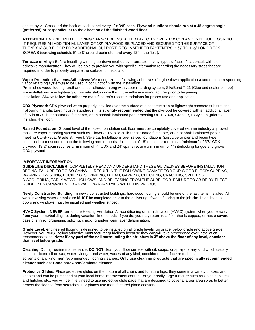sheets by ½. Cross kerf the back of each panel every 1' x 3/8" deep. **Plywood subfloor should run at a 45 degree angle (preferred) or perpendicular to the direction of the finished wood floor.** 

**ATTENTION:** ENGINEERED FLOORING CANNOT BE INSTALLED DIRECTLY OVER 1" X 6" PLANK TYPE SUBFLOORING. IT REQUIRES AN ADDITIONAL LAYER OF 1/2" PLYWOOD BE PLACED AND SECURED TO THE SURFACE OF THE 1" X 6" SUB FLOOR FOR ADDITIONAL SUPPORT. RECOMMENDED FASTENERS: 1 1/4" TO 1 1/2" LONG DECK SCREWS (screwing schedule 6" to 8" around perimeter and every 12" in the field)**.** 

**Terrazzo or Vinyl:** Before installing with a glue-down method over terrazzo or vinyl type surfaces, first consult with the adhesive manufacturer. They will be able to provide you with specific information regarding the necessary steps that are required in order to properly prepare the surface for installation.

**Vapor Protection Systems/Adhesives:** We recognize the following adhesives (for glue down applications) and their corresponding vapor retarding system(s) to be used in conjunction with the installation. Prefinished wood flooring: urethane base adhesive along with vapor retarding system, SikaBond T-21 (Glue and sealer combo) For installations over lightweight concrete slabs consult with the adhesive manufacturer prior to beginning

installation. Always follow the adhesive manufacturer's recommendations for proper use and application.

**CDX Plywood:** CDX plywood when properly installed over the surface of a concrete slab or lightweight concrete sub straight (following manufacturer/industry standards) it is **strongly recommended** that the plywood be covered with an additional layer of 15 lb or 30 lb tar saturated felt paper, or an asphalt laminated paper meeting UU-B-790a, Grade B, I, Style 1a.,prior to installing the floor.

**Raised Foundation:** Ground level of the raised foundation sub floor **must** be completely covered with an industry approved moisture vapor retarding system such as 1 layer of 15 lb or 30 lb tar saturated felt paper, or an asphalt laminated paper meeting UU-B-790a, Grade B, Type I, Style 1a. Installations over raised foundations (joist type or pier and beam type construction) must conform to the following requirements: Joist span of 16" on center requires a "minimum" of 5/8" CDX plywood; 19.2" span requires a minimum of ¾" CDX and 24" spans require a minimum of 1" interlocking tongue and grove CDX plywood.

#### **IMPORTANT INFORMATION**

**GUIDELINE DISCLAIMER:** COMPLETELY READ AND UNDERSTAND THESE GUIDELINES BEFORE INSTALLATION BEGINS. FAILURE TO DO SO CAN/WILL RESULT IN THE FOLLOWING DAMAGE TO YOUR WOOD FLOOR: CUPPING, WARPING, TWISTING, BUCKLING, SHRINKING, DELAM, GAPPING, CHECKING, CRACKING, SPLITTING, DISCOLORING, EARLY WEAR, HOLLOWS, AND RELEASING FROM THE SUBFLOOR. FAILURE TO ABIDE BY THESE GUIDELINES CAN/WILL VOID ANY/ALL WARRANTYIES WITH THIS PRODUCT.

**Newly Constructed Building:** In newly constructed buildings, hardwood flooring should be one of the last items installed. All work involving water or moisture **MUST** be completed prior to the delivering of wood flooring to the job site. In addition, all doors and windows must be installed and weather striped.

**HVAC System: NEVER** turn off the Heating Ventilation Air-conditioning or humidification (HVAC) system when you're away from your home/building i.e. during vacation time periods. If you do, you may return to a floor that is cupped, or has a severe case of shrinking/gapping, splitting, checking and/or wear layer delamination.

**Grade Level:** engineered flooring is designed to be installed on all grade levels: on grade, below grade and above grade. However, you **MUST** follow adhesive manufacturer guidelines because they can/will take precedence over installation recommendations. **Note: If any part of the soil surrounding the structure is 3" above the floor of any level, consider that level below-grade.** 

**Cleaning:** During routine maintenance, **DO NOT** clean your floor surface with oil, soaps, or sprays of any kind which usually contain silicone oil or wax, water, vinegar and water, waxes of any kind, conditioners, surface refreshers, solvents of any kind, **non** recommended flooring cleaners. **Only use cleaning products that are specifically recommended cleaner such as: Bona hardwood/laminate cleaner.** 

**Protective Glides:** Place protective glides on the bottom of all chairs and furniture legs; they come in a variety of sizes and shapes and can be purchased at your local home improvement center. For your really large furniture such as China cabinets and hutches etc., you will definitely need to use protective glide pads that are designed to cover a larger area so as to better protect the flooring from scratches. For pianos use manufactured piano coasters.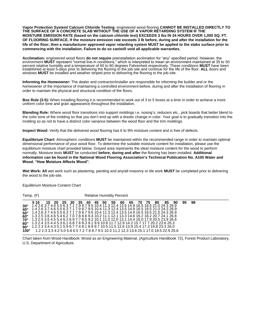**Vapor Protection System/ Calcium Chloride Testing:** engineered wood flooring **CANNOT BE INSTALLED DIRECTLY TO THE SURFACE OF A CONCRETE SLAB WITHOUT THE USE OF A VAPOR RETARDING SYSTEM IF THE MOISTURE EMISSION RATE (based on the calcium chloride test) EXCEEDS 3 lbs IN 24 HOURS OVER 1,000 SQ. FT. OF FLOORING SURFACE. If the moisture emission rate exceeds 3 lb before, during and after the installation for the life of the floor, then a manufacturer approved vapor retarding system MUST be applied to the slabs surface prior to commencing with the installation. Failure to do so can/will void all applicable warranties.** 

**Acclimation:** engineered wood floors **do not require** preinstallation acclimation for "any" specified period. However, the environment **MUST** represent "normal live-in conditions," which is interpreted to mean an environment maintained at 35 to 50 percent relative humidity and a temperature of 60 to 80 degrees Fahrenheit respectively. These conditions **MUST** have been established at least 5-days prior to delivering the flooring to the job-site and continue for the life of the floor. **ALL** doors and windows **MUST** be installed and weather striped prior to delivering the flooring to the job-site.

**Informing the Homeowner:** The dealer and contractor/installer are responsible for informing the builder and or the homeowner of the importance of maintaining a controlled environment before, during and after the installation of flooring in order to maintain the physical and structural condition of the floors.

**Box Rule (3-5):** When installing flooring it is recommended to work out of 3 to 5 boxes at a time in order to achieve a more uniform color tone and grain appearance throughout the installation.

**Blending Rule:** Where wood floor transitions into support moldings i.e. nosing's, reducers etc., pick boards that better blend to the color tone of the molding so that you don't end-up with a drastic change in color. Your goal is to gradually transition into the molding so as not to have a distinct color variance between the wood floor and the trim moldings.

**Inspect Wood:** Verify that the delivered wood flooring has 6 to 9% moisture content and is free of defects.

**Equilibrium Chart:** Atmospheric conditions **MUST** be maintained within the recommended range in order to maintain optimal dimensional performance of your wood floor. To determine the suitable moisture content for installation, please use the equilibrium moisture chart provided below. Grayed area represents the ideal moisture content for the wood to perform normally. Moisture tests **MUST** be conducted **before, during and after** the flooring has been installed. **Additional information can be found in the National Wood Flooring Association's Technical Publication No. A100 Water and Wood. "How Moisture Affects Wood".** 

**Wet Work: All** wet work such as plastering, painting and any/all masonry or tile work **MUST** be completed prior to delivering the wood to the job-site.

Temp. (F) Relative Humidity Percent **...................................................................................................................................................................................................... 5 10 15 20 25 30 35 40 45 50 55 60 65 70 75 80 85 90 95 98 30° 40° 50° 60° 70° 80° 90°**  1.4 2.6 3.7 4.6 5.5 6.3 7.1 7.9 8.7 9.5 10.4 11.3 12.4 13.5 14.9 16.5 18.5 21.0 24.3 26.9 1.4 2.6 3.7 4.6 5.5 6.3 7.1 7.9 8.7 9.5 10.4 11.3 12.4 13.5 14.9 16.5 18.5 21.0 24.3 26.9 1.4 2.6 3.7 4.6 5.5 6.3 7.1 7.9 8.7 9.5 10.4 11.3 12.4 13.5 14.9 16.5 18.5 21.0 24.3 26.9 1.3 2.5 3.6 4.6 5.4 6.2 7.0 7.8 8.6 9.4 10.2 11.1 12.1 13.3 14.6 16.2 18.2 20.7 24.1 26.8 1.3 2.5 3.5 4.5 5.4 6.2 6.9 7.7 8.5 9.2 10.1 11.0 12.0 13.1 14.4 16.0 17.9 20.5 23.9 26.6 1.3 2.4 3.5 4.4 5.3 6.1 6.8 7.6 8.3 9.1 9.9 10.8 11.7 12.9 14.2 15.7 17 7 20.2 23.6 26.3 1.2 2.3 3.4 4.3 5.1 5.9 6.7 7.4 8.1 8.9 9.7 10.5 11.5 12.6 13.9 15.4 17.3 19.8 23.3 26.0 **100°** 1.2 2.3 3.3 4.2 5.0 5.8 6.5 7.2 7.9 8.7 9.5 10.3 11.2 12.3 13.6 25.1 17.0 19.5 22.9 25.6 **.......................................................................................................................................................................................................**

Equilibrium Moisture Content Chart

Chart taken from Wood Handbook: Wood as an Engineering Material, (Agriculture Handbook 72), Forest Product Laboratory, U.S. Department of Agriculture.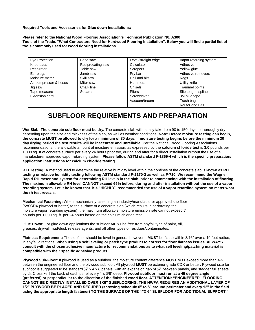**Required Tools and Accessories for Glue down Installations:** 

**Please refer to the National Wood Flooring Association's Technical Publication N0. A300 Tools of the Trade. "What Contractors Need for Hardwood Flooring Installation". Below you will find a partial list of tools commonly used for wood flooring installations.** 

| Eye Protection         | Band saw          | Level/straight edge | Vapor retarding system |
|------------------------|-------------------|---------------------|------------------------|
| Knee pads              | Reciprocating saw | Calculator          | Adhesive               |
| Respirator             | Table saw         | Scrapers            | Yellow glue            |
| Ear plugs              | Jamb saw          | Pry bar             | Adhesive removers      |
| Moisture meter         | Skill saw         | Drill and bits      | Rags                   |
| Air compressor & hoses | Miter saw         | Hammers             | Utility knife          |
| Jig saw                | Chalk line        | Chisels             | Trammel points         |
| Tape measure           | Squares           | <b>Pliers</b>       | Slip tongue spline     |
| Extension cord         |                   | Screwdriver         | 3M blue tape           |
|                        |                   | Vacuum/broom        | Trash bags             |
|                        |                   |                     | <b>Router and Bits</b> |

# **SUBFLOOR REQUIREMENTS AND PREPARATION**

Wet Slab: The concrete sub floor must be dry. The concrete slab will usually take from 90 to 150 days to thoroughly dry depending upon the size and thickness of the slab, as well as weather conditions. **Note: Before moisture testing can begin, the concrete MUST be allowed to dry for a minimum of 30 days. If moisture testing begins before the minimum 30 day drying period the test results will be inaccurate and unreliable.** Per the National Wood Flooring Associations recommendations, the allowable amount of moisture emission, as expressed by the **calcium chloride test** is **3.0** pounds per 1,000 sq. ft of concrete surface per every 24 hours prior too, during and after for a direct installation without the use of a manufacturer approved vapor retarding system. **Please follow ASTM standard F-1869-4 which is the specific preparation/ application instructions for calcium chloride testing.** 

**R.H Testing:** A method used to determine the relative humidity level within the confines of the concrete slab is known as **RH testing or relative humidity testing following ASTM standard F-2170-2 as well as F-710. We recommend the Wagner Rapid RH meter and system for determining RH levels in the slab, prior to commencing with the installation of flooring. The maximum allowable RH level CANNOT exceed 65% before, during and after installation without the use of a vapor retarding system. Let it be known that it's "HIGHLY" recommended the use of a vapor retarding system no mater what the rh test reveals.** 

**Mechanical Fastening:** When mechanically fastening an industry/manufacturer approved sub floor (5/8"CDX plywood or better) to the surface of a concrete slab (which results in perforating the moisture vapor retarding system), the maximum allowable moisture emission rate cannot exceed 7 pounds per 1,000 sq. ft. per 24 hours based on the calcium chloride test.

**Glue Down:** For glue down applications the subfloor **MUST** be free from any/all type of paint, oil, greases, drywall mud/dust, release agents, and all other types of residues/contaminates.

**Flatness Requirement:** The subfloor should be level in general however it **MUST** be flat to within 3/16" over a 10 foot radius, in any/all directions. **When using a self leveling or patch type product to correct for floor flatness issues. ALWAYS consult with the chosen adhesive manufacture for recommendations as to what self leveling/patching material is compatible with their specific adhesive product.** 

**Plywood Sub-Floor:** If plywood is used as a subfloor, the moisture content difference **MUST NOT** exceed more than 4% between the engineered floor and the plywood subfloor. All plywood **MUST** be exterior grade CDX or better. Plywood size for subfloor is suggested to be standard  $\frac{3}{4}$  x 4 x 8 panels, with an expansion gap of  $\frac{1}{4}$  between panels, and stagger full sheets by ½. Cross kerf the back of each panel every 1 x 3/8" deep. **Plywood subfloor must run at a 45 degree angle (preferred) or perpendicular to the direction of the finished wood floor. ATTENTION: "ENGINEERED" FLOORING CANNOT BE DIRECTLY INSTALLED OVER 1X6" SUBFLOORING. THE NWFA REQUIRES AN ADDITIONAL LAYER OF 1/2" PLYWOOD BE PLACED AND SECURED (screwing schedule 6" to 8" around perimeter and every 12" in the field using the appropriate length fastener) TO THE SURFACE OF THE 1"X 6" SUBFLOOR FOR ADDITIONAL SUPPORT."**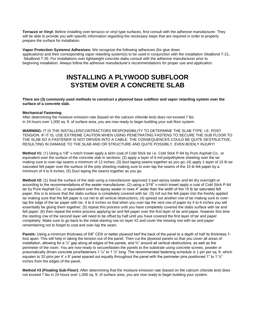**Terrazzo or Vinyl:** Before installing over terrazzo or vinyl type surfaces, first consult with the adhesive manufacturer. They will be able to provide you with specific information regarding the necessary steps that are required in order to properly prepare the surface for installation.

**Vapor Protection Systems/ Adhesives:** We recognize the following adhesives (for glue down applications) and their corresponding vapor retarding system(s) to be used in conjunction with the installation SikaBond T-21, SikaBond T-35. For installations over lightweight concrete slabs consult with the adhesive manufacturer prior to beginning installation. Always follow the adhesive manufacturer's recommendations for proper use and application.

# **INSTALLING A PLYWOOD SUBFLOOR SYSTEM OVER A CONCRETE SLAB**

#### **There are (3) commonly used methods to construct a plywood base subfloor and vapor retarding system over the surface of a concrete slab.**

#### **Mechanical Fastening**

After determining the moisture emission rate (based on the calcium chloride test) does not exceed 7 lbs in 24 hours over 1,000 sq. ft. of surface area, you are now ready to begin building your sub floor system:

**WARNING:** IT IS THE INSTALLER/CONTRACTORS RESPONSIBILITY TO DETERMINE THE SLAB TYPE, I.E. POST TENSION. IF IT IS, USE EXTREME CAUTION WHEN USING PENETRATING FASTENS TO SECURE THE SUB FLOOR TO THE SLAB SO A FASTENER IS NOT DRIVEN INTO A CABLE. THE CONSEQUENCES COULD BE QUITE DESTRUCTIVE, RESULTING IN DAMAGE TO THE SLAB AND OR STRUCTURE AND QUITE POSSIBLY, EVEN BODILY INJURY!

**Method #1:** (1) Using a 1/8" v-notch trowel apply a skim coat of Cold Stick tar i.e. Cold Stick P-84 by Pure Asphalt Co., or equivalent over the surface of the concrete slab in sections; (2) apply a layer of 6-mil polyethylene sheeting over the tar making sure to over-lap seams a minimum of 12 inches; (3) duct taping seams together as you go; (4) apply 1-layer of 15 lb tar saturated felt paper over the surface of the poly sheeting making sure to over-lap the seams of the 15 lb felt paper by a minimum of 4 to 6 inches; (5) Duct taping the seams together as you go.

**Method #2:** (1) Seal the surface of the slab using a manufacturer approved 2-part epoxy sealer and let dry overnight or according to the recommendations of the sealer manufacturer; (2) using a 3/16" v-notch trowel apply a coat of Cold Stick P-84 tar by Pure Asphalt Co., or equivalent over the epoxy sealer in rows 4" wider then the width of the 15 lb tar saturated felt paper, this is to ensure that the slabs surface is completely covered with tar; (3) roll out the felt paper into the freshly applied tar making sure that the felt paper is cut net to all vertical obstructions; (4) spread out another row of tar making sure to overlap the edge of the tar paper with tar, 4 to 6 inches so that when you over-lap the next row of paper by 4 to 6 inches you will essentially be gluing them together; (5) repeat this process until you have completely covered the slabs surface with tar and felt paper; (6) then repeat the entire process applying tar and felt paper over the first layer of tar and paper, however this time the starting row of the second layer will need to be offset by half until you have covered the first layer of tar and paper completely. Make sure to go back to the initial starting row on layer #2 and cover the missing row with tar and paper remembering not to forget to coat and over-lap the seam.

**Panels:** Using a minimum thickness of 5/8" CDX or better plywood kerf the back of the panel to a depth of half its thickness 1 foot apart. This will help in taking the tension out of the panel. Then cut the plywood panels so that you cover all areas of installation, allowing for a  $\frac{1}{4}$ " gap along all edges of the panels, and  $\frac{3}{4}$ " around all vertical obstructions, as well as the perimeter of the room. You are now ready to secure/fasten the panels to the substrate using concrete screws, powder or pneumatically driven concrete pins/fasteners 1  $\frac{1}{4}$ " to 1  $\frac{1}{2}$ " long. The recommended fastening schedule is 1-pin per sq. ft. which equates to 32-pins per 4' x 8' panel spaced out equally throughout the panel with the perimeter pins positioned 1" to 1  $\frac{1}{2}$ " inches from the edges of the panel.

**Method #3 (Floating Sub-Floor):** After determining that the moisture emission rate (based on the calcium chloride test) does not exceed 7 lbs in 24 hours over 1,000 sq. ft. of surface area, you are now ready to begin building your system.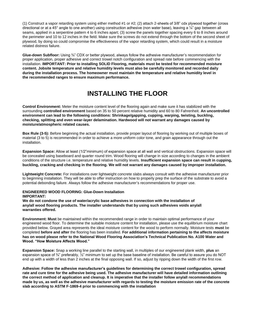(1) Construct a vapor retarding system using either method #1 or #2; (2) attach 2-sheets of 3/8" cdx plywood together (cross directional or at a 45° angle to one another) using construction adhesive (non water base), leaving a ¼" gap between all seams, applied in a serpentine pattern 4 to 6 inches apart; (3) screw the panels together spacing every 6 to 8 inches around the perimeter and 10 to 12 inches in the field. Make sure the screws do not extend through the bottom of the second sheet of plywood, by doing so could compromise the effectiveness of the vapor retarding system, which could result in a moisture related distress failure.

**Glue-down Subfloor:** Using ¾" CDX or better plywood, always follow the adhesive manufacturer's recommendation for proper application, proper adhesive and correct trowel notch configuration and spread rate before commencing with the installation. **IMPORTANT: Prior to installing SOLID Flooring, materials must be tested for recommended moisture content. Jobsite temperature and relative humidity levels must also be carefully monitored and recorded daily during the installation process. The homeowner must maintain the temperature and relative humidity level in the recommended ranges to ensure maximum performance.** 

## **INSTALLING THE FLOOR**

**Control Environment:** Meter the moisture content level of the flooring again and make sure it has stabilized with the surrounding **controlled environment** based on 35 to 50 percent relative humidity and 60 to 80 Fahrenheit. **An uncontrolled environment can lead to the following conditions: Shrinkage/gapping, cupping, warping, twisting, buckling, checking, splitting and even wear-layer delamination. Hardwood will not warrant any damages caused by moisture/atmospheric related causes.** 

**Box Rule (3-5):** Before beginning the actual installation, provide proper layout of flooring by working out of multiple boxes of material (3 to 5) is recommended in order to achieve a more uniform color tone, and grain appearance through out the installation.

**Expansion Space:** Allow at least (1/2"minimum) of expansion space at all wall and vertical obstructions. Expansion space will be concealed using baseboard and quarter round trim. Wood flooring will change in size according to changes in the ambient conditions of the structure i.e. temperature and relative humidity levels. **Insufficient expansion space can result in cupping, buckling, cracking and checking in the flooring. We will not warrant any damages caused by improper installation.** 

**Lightweight Concrete:** For installations over lightweight concrete slabs always consult with the adhesive manufacturer prior to beginning installation. They will be able to offer instruction on how to properly prep the surface of the substrate to avoid a potential debonding failure. Always follow the adhesive manufacturer's recommendations for proper use.

#### **ENGINEERED WOOD FLOORING: Glue-Down Installation**

#### **IMPORTANT:**

**We do not condone the use of water/acrylic base adhesives in connection with the installation of any/all wood flooring products. The installer understands that by using such adhesives voids any/all warranties offered.**

**Environment: Must** be maintained within the recommended range in order to maintain optimal performance of your engineered wood floor. To determine the suitable moisture content for installation, please use the equilibrium moisture chart provided below. Grayed area represents the ideal moisture content for the wood to perform normally. Moisture tests **must** be completed **before and after** the flooring has been installed. **For additional information pertaining to the affects moisture has on wood please refer to the National Wood Flooring Association's Technical Publication No. A100 Water and Wood. "How Moisture Affects Wood."** 

**Expansion Space:** Snap a working line parallel to the starting wall, in multiples of our engineered plank width, **plus** an expansion space of ¾" preferably, ½" minimum to set up the base baseline of installation. Be careful to assure you do NOT end up with a width of less than 2 inches at the final opposing wall. If so, adjust by ripping down the width of the first row.

**Adhesive: Follow the adhesive manufacturer's guidelines for determining the correct trowel configuration, spread rate and cure time for the adhesive being used. The adhesive manufacturer will have detailed information outlining the correct method of application and cleanup. It is imperative that the installer follow any/all recommendations made by us, as well as the adhesive manufacturer with regards to testing the moisture emission rate of the concrete slab according to ASTM F-1869-4 prior to commencing with the installation**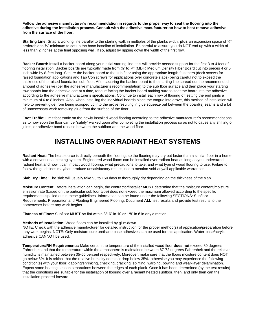#### **Follow the adhesive manufacturer's recommendation in regards to the proper way to seat the flooring into the adhesive during the installation process. Consult with the adhesive manufacturer on how to best remove adhesive from the surface of the floor.**

**Starting Line:** Snap a working line parallel to the starting wall, in multiples of the planks width, **plus** an expansion space of ¾" preferable to  $\frac{1}{2}$ " minimum to set up the base baseline of installation. Be careful to assure you do NOT end up with a width of less than 2 inches at the final opposing wall. If so, adjust by ripping down the width of the first row.

**Backer Board:** Install a backer board along your initial starting line, this will provide needed support for the first 3 to 4 feet of flooring installation. Backer boards are typically made from  $\frac{1}{2}$  to  $\frac{3}{4}$ " (MDF) Medium Density Fiber Board cut into pieces 4 or 5 inch wide by 8-feet long. Secure the backer board to the sub floor using the appropriate length fasteners (deck screws for raised foundation applications and Tap Con screws for applications over concrete slabs) being careful not to exceed the thickness of the raised foundation sub floor. After securing the backer board to the starting line spread out the recommended amount of adhesive (per the adhesive manufacturer's recommendation) to the sub floor surface and then place your starting row boards into the adhesive one at a time, tongue facing the backer board making sure to seat the board into the adhesive according to the adhesive manufacturer's specifications. Continue to install each row of flooring off setting the end joints a minimum of 6 to 8 inches. Also, when installing the individual boards place the tongue into grove, this method of installation will help to prevent glue from being scooped up into the grove resulting in glue squeeze out between the board(s) seams and a lot of unnecessary work removing glue from the surface of the floor.

**Foot Traffic:** Limit foot traffic on the newly installed wood flooring according to the adhesive manufacturer's recommendations as to how soon the floor can be "safely" walked upon after completing the installation process so as not to cause any shifting of joints, or adhesive bond release between the subfloor and the wood floor.

# **INSTALLING OVER RADIANT HEAT SYSTEMS**

**Radiant Heat:** The heat source is directly beneath the flooring, so the flooring may dry out faster than a similar floor in a home with a conventional heating system. Engineered wood floors can be installed over radiant heat as long as you understand radiant heat and how it can impact wood flooring, what precautions to take, and what type of wood flooring to use. Failure to follow the guidelines may/can produce unsatisfactory results, not to mention void any/all applicable warranties.

**Slab Dry Time:** The slab will usually take 90 to 150 days to thoroughly dry depending on the thickness of the slab.

**Moisture Content:** Before installation can begin, the contractor/installer **MUST** determine that the moisture content/moisture emission rate (based on the particular subfloor type) does not exceed the maximum allowed according to the specific requirements spelled out in these guidelines. Information can be found under the following SECTIONS: Subfloor Requirements, Preparation and Floating Engineered Flooring. Document **ALL** test results and provide test results to the homeowner before any work begins.

**Flatness of Floor:** Subfloor **MUST** be flat within 3/16" in 10 or 1/8" in 6 in any direction.

#### **Methods of Installation:** Wood floors can be installed by glue-down.

NOTE: Check with the adhesive manufacturer for detailed instruction for the proper method(s) of application/preparation before any work begins. NOTE: Only moisture cure urethane base adhesives can be used for this application. Water base/acrylic adhesive CANNOT be used.

**Temperature/RH Requirements:** Make certain the temperature of the installed wood floor **does not** exceed 80 degrees Fahrenheit and that the temperature within the atmosphere is maintained between 67-72 degrees Fahrenheit and the relative humidity is maintained between 35-50 percent respectively. Moreover, make sure that the floors moisture content does NOT go below 6%. It is critical that the relative humidity does not drop below 35%, otherwise you may experience the following condition(s) with your floor: gapping/shrinking, checking, cracking, splitting, warping, bowing and wear-layer delamination. Expect some heating season separations between the edges of each plank. Once it has been determined (by the test results) that the conditions are suitable for the installation of flooring over a radiant heated subfloor, then, and only then can the installation proceed forward.